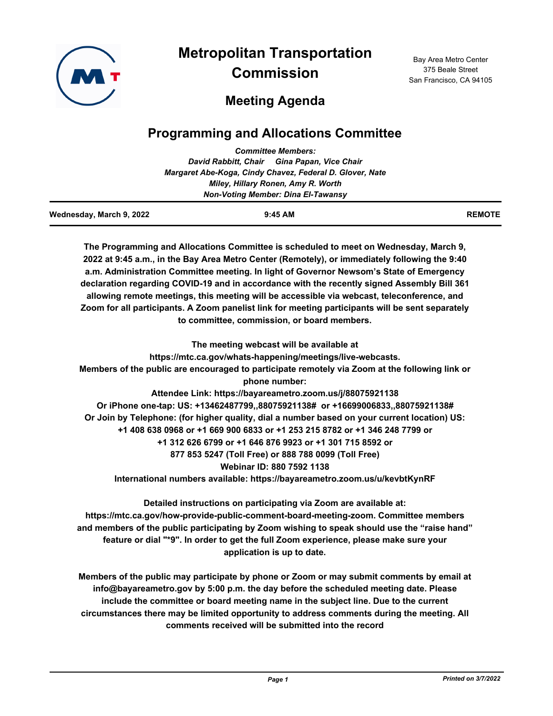

**Metropolitan Transportation Commission**

Bay Area Metro Center 375 Beale Street San Francisco, CA 94105

# **Meeting Agenda**

# **Programming and Allocations Committee**

|                          | <b>Committee Members:</b>                                                                                       |               |
|--------------------------|-----------------------------------------------------------------------------------------------------------------|---------------|
|                          | David Rabbitt, Chair Gina Papan, Vice Chair                                                                     |               |
|                          | Margaret Abe-Koga, Cindy Chavez, Federal D. Glover, Nate                                                        |               |
|                          | Miley, Hillary Ronen, Amy R. Worth                                                                              |               |
|                          | <b>Non-Voting Member: Dina El-Tawansy</b>                                                                       |               |
| Wednesday, March 9, 2022 | $9:45$ AM                                                                                                       | <b>REMOTE</b> |
|                          | The Programming and Allocations Committee is scheduled to meet on Wednesday, March 9,                           |               |
|                          | 2022 at 9:45 a.m., in the Bay Area Metro Center (Remotely), or immediately following the 9:40                   |               |
|                          | a.m. Administration Committee meeting. In light of Governor Newsom's State of Emergency                         |               |
|                          | declaration regarding COVID-19 and in accordance with the recently signed Assembly Bill 361                     |               |
|                          | allowing remote meetings, this meeting will be accessible via webcast, teleconference, and                      |               |
|                          | Zoom for all participants. A Zoom panelist link for meeting participants will be sent separately                |               |
|                          | to committee, commission, or board members.                                                                     |               |
|                          | The meeting webcast will be available at                                                                        |               |
|                          | https://mtc.ca.gov/whats-happening/meetings/live-webcasts.                                                      |               |
|                          | Members of the public are encouraged to participate remotely via Zoom at the following link or<br>phone number: |               |
|                          | Attendee Link: https://bayareametro.zoom.us/j/88075921138                                                       |               |
|                          | Or iPhone one-tap: US: +13462487799,,88075921138# or +16699006833,,88075921138#                                 |               |
|                          | Or Join by Telephone: (for higher quality, dial a number based on your current location) US:                    |               |
|                          | +1 408 638 0968 or +1 669 900 6833 or +1 253 215 8782 or +1 346 248 7799 or                                     |               |
|                          | +1 312 626 6799 or +1 646 876 9923 or +1 301 715 8592 or                                                        |               |
|                          | 877 853 5247 (Toll Free) or 888 788 0099 (Toll Free)                                                            |               |
|                          |                                                                                                                 |               |

**Webinar ID: 880 7592 1138**

**International numbers available: https://bayareametro.zoom.us/u/kevbtKynRF**

**Detailed instructions on participating via Zoom are available at: https://mtc.ca.gov/how-provide-public-comment-board-meeting-zoom. Committee members and members of the public participating by Zoom wishing to speak should use the "raise hand" feature or dial "\*9". In order to get the full Zoom experience, please make sure your application is up to date.**

**Members of the public may participate by phone or Zoom or may submit comments by email at info@bayareametro.gov by 5:00 p.m. the day before the scheduled meeting date. Please include the committee or board meeting name in the subject line. Due to the current circumstances there may be limited opportunity to address comments during the meeting. All comments received will be submitted into the record**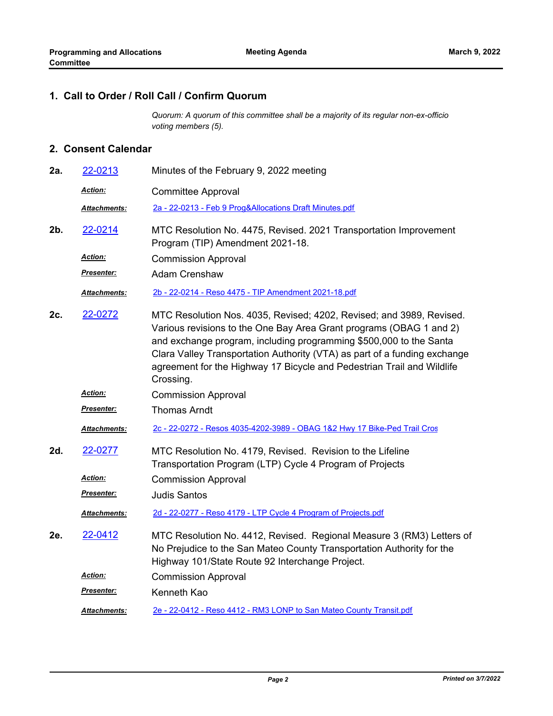## **1. Call to Order / Roll Call / Confirm Quorum**

*Quorum: A quorum of this committee shall be a majority of its regular non-ex-officio voting members (5).*

#### **2. Consent Calendar**

| 2a. | 22-0213             | Minutes of the February 9, 2022 meeting                                                                                                                                                                                                                                                                                                                                               |
|-----|---------------------|---------------------------------------------------------------------------------------------------------------------------------------------------------------------------------------------------------------------------------------------------------------------------------------------------------------------------------------------------------------------------------------|
|     | <b>Action:</b>      | <b>Committee Approval</b>                                                                                                                                                                                                                                                                                                                                                             |
|     | <b>Attachments:</b> | 2a - 22-0213 - Feb 9 Prog&Allocations Draft Minutes.pdf                                                                                                                                                                                                                                                                                                                               |
| 2b. | 22-0214             | MTC Resolution No. 4475, Revised. 2021 Transportation Improvement<br>Program (TIP) Amendment 2021-18.                                                                                                                                                                                                                                                                                 |
|     | <u>Action:</u>      | <b>Commission Approval</b>                                                                                                                                                                                                                                                                                                                                                            |
|     | Presenter:          | <b>Adam Crenshaw</b>                                                                                                                                                                                                                                                                                                                                                                  |
|     | Attachments:        | 2b - 22-0214 - Reso 4475 - TIP Amendment 2021-18.pdf                                                                                                                                                                                                                                                                                                                                  |
| 2c. | 22-0272             | MTC Resolution Nos. 4035, Revised; 4202, Revised; and 3989, Revised.<br>Various revisions to the One Bay Area Grant programs (OBAG 1 and 2)<br>and exchange program, including programming \$500,000 to the Santa<br>Clara Valley Transportation Authority (VTA) as part of a funding exchange<br>agreement for the Highway 17 Bicycle and Pedestrian Trail and Wildlife<br>Crossing. |
|     | <b>Action:</b>      | <b>Commission Approval</b>                                                                                                                                                                                                                                                                                                                                                            |
|     | Presenter:          | <b>Thomas Arndt</b>                                                                                                                                                                                                                                                                                                                                                                   |
|     | Attachments:        | 2c - 22-0272 - Resos 4035-4202-3989 - OBAG 1&2 Hwy 17 Bike-Ped Trail Cros                                                                                                                                                                                                                                                                                                             |
| 2d. | 22-0277             | MTC Resolution No. 4179, Revised. Revision to the Lifeline<br>Transportation Program (LTP) Cycle 4 Program of Projects                                                                                                                                                                                                                                                                |
|     | <u>Action:</u>      | <b>Commission Approval</b>                                                                                                                                                                                                                                                                                                                                                            |
|     | Presenter:          | <b>Judis Santos</b>                                                                                                                                                                                                                                                                                                                                                                   |
|     | <b>Attachments:</b> | 2d - 22-0277 - Reso 4179 - LTP Cycle 4 Program of Projects.pdf                                                                                                                                                                                                                                                                                                                        |
| 2e. | 22-0412             | MTC Resolution No. 4412, Revised. Regional Measure 3 (RM3) Letters of<br>No Prejudice to the San Mateo County Transportation Authority for the<br>Highway 101/State Route 92 Interchange Project.                                                                                                                                                                                     |
|     | <u>Action:</u>      | <b>Commission Approval</b>                                                                                                                                                                                                                                                                                                                                                            |
|     | <u>Presenter:</u>   | Kenneth Kao                                                                                                                                                                                                                                                                                                                                                                           |
|     | <b>Attachments:</b> | 2e - 22-0412 - Reso 4412 - RM3 LONP to San Mateo County Transit.pdf                                                                                                                                                                                                                                                                                                                   |
|     |                     |                                                                                                                                                                                                                                                                                                                                                                                       |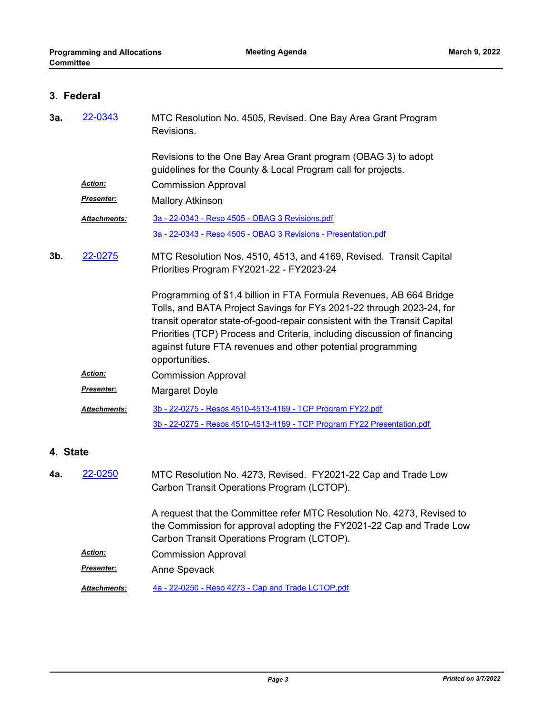# **3. Federal**

| 3a.      | 22-0343             | MTC Resolution No. 4505, Revised. One Bay Area Grant Program<br>Revisions.                                                                                                                                                                                                                                                                                                            |
|----------|---------------------|---------------------------------------------------------------------------------------------------------------------------------------------------------------------------------------------------------------------------------------------------------------------------------------------------------------------------------------------------------------------------------------|
|          | Action:             | Revisions to the One Bay Area Grant program (OBAG 3) to adopt<br>guidelines for the County & Local Program call for projects.<br><b>Commission Approval</b>                                                                                                                                                                                                                           |
|          | Presenter:          |                                                                                                                                                                                                                                                                                                                                                                                       |
|          |                     | <b>Mallory Atkinson</b>                                                                                                                                                                                                                                                                                                                                                               |
|          | <b>Attachments:</b> | <u>3a - 22-0343 - Reso 4505 - OBAG 3 Revisions.pdf</u>                                                                                                                                                                                                                                                                                                                                |
|          |                     | <u>3a - 22-0343 - Reso 4505 - OBAG 3 Revisions - Presentation.pdf</u>                                                                                                                                                                                                                                                                                                                 |
| 3b.      | 22-0275             | MTC Resolution Nos. 4510, 4513, and 4169, Revised. Transit Capital<br>Priorities Program FY2021-22 - FY2023-24                                                                                                                                                                                                                                                                        |
|          |                     | Programming of \$1.4 billion in FTA Formula Revenues, AB 664 Bridge<br>Tolls, and BATA Project Savings for FYs 2021-22 through 2023-24, for<br>transit operator state-of-good-repair consistent with the Transit Capital<br>Priorities (TCP) Process and Criteria, including discussion of financing<br>against future FTA revenues and other potential programming<br>opportunities. |
|          | <b>Action:</b>      | <b>Commission Approval</b>                                                                                                                                                                                                                                                                                                                                                            |
|          | <u>Presenter:</u>   | <b>Margaret Doyle</b>                                                                                                                                                                                                                                                                                                                                                                 |
|          | <b>Attachments:</b> | 3b - 22-0275 - Resos 4510-4513-4169 - TCP Program FY22.pdf                                                                                                                                                                                                                                                                                                                            |
|          |                     | 3b - 22-0275 - Resos 4510-4513-4169 - TCP Program FY22 Presentation.pdf                                                                                                                                                                                                                                                                                                               |
| 4. State |                     |                                                                                                                                                                                                                                                                                                                                                                                       |
| 4а.      | 22-0250             | MTC Resolution No. 4273, Revised. FY2021-22 Cap and Trade Low<br>Carbon Transit Operations Program (LCTOP).                                                                                                                                                                                                                                                                           |
|          |                     | A request that the Committee refer MTC Resolution No. 4273, Revised to<br>the Commission for approval adopting the FY2021-22 Cap and Trade Low<br>Carbon Transit Operations Program (LCTOP).                                                                                                                                                                                          |
|          | <u>Action:</u>      | <b>Commission Approval</b>                                                                                                                                                                                                                                                                                                                                                            |
|          | <b>Presenter:</b>   | Anne Spevack                                                                                                                                                                                                                                                                                                                                                                          |

*Attachments:* [4a - 22-0250 - Reso 4273 - Cap and Trade LCTOP.pdf](http://mtc.legistar.com/gateway.aspx?M=F&ID=348d07ad-e1f0-4be2-9f2f-a27b73b1a70c.pdf)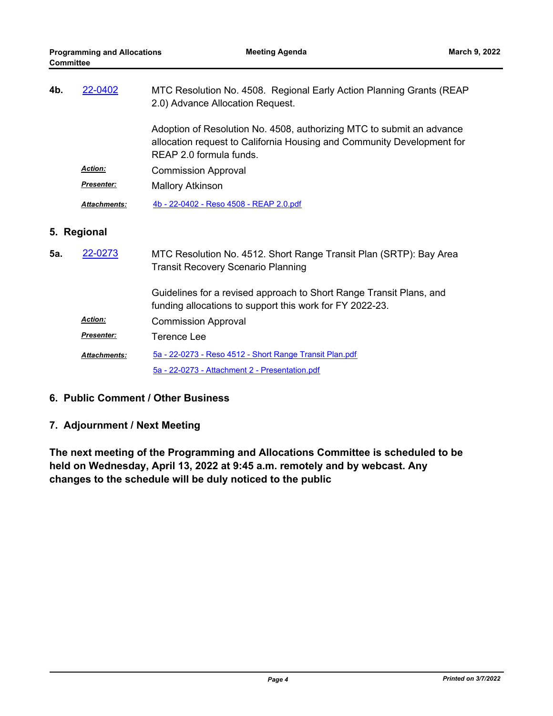| 4b.         | 22-0402             | MTC Resolution No. 4508. Regional Early Action Planning Grants (REAP<br>2.0) Advance Allocation Request.                                                                   |
|-------------|---------------------|----------------------------------------------------------------------------------------------------------------------------------------------------------------------------|
|             |                     | Adoption of Resolution No. 4508, authorizing MTC to submit an advance<br>allocation request to California Housing and Community Development for<br>REAP 2.0 formula funds. |
|             | <b>Action:</b>      | <b>Commission Approval</b>                                                                                                                                                 |
|             | <b>Presenter:</b>   | <b>Mallory Atkinson</b>                                                                                                                                                    |
|             | <b>Attachments:</b> | 4b - 22-0402 - Reso 4508 - REAP 2.0.pdf                                                                                                                                    |
| 5. Regional |                     |                                                                                                                                                                            |
|             |                     |                                                                                                                                                                            |
| 5а.         | 22-0273             | MTC Resolution No. 4512. Short Range Transit Plan (SRTP): Bay Area<br><b>Transit Recovery Scenario Planning</b>                                                            |
|             |                     | Guidelines for a revised approach to Short Range Transit Plans, and<br>funding allocations to support this work for FY 2022-23.                                            |
|             | <b>Action:</b>      | <b>Commission Approval</b>                                                                                                                                                 |
|             | <b>Presenter:</b>   | Terence Lee                                                                                                                                                                |
|             | <b>Attachments:</b> | 5a - 22-0273 - Reso 4512 - Short Range Transit Plan.pdf                                                                                                                    |

### **6. Public Comment / Other Business**

### **7. Adjournment / Next Meeting**

**The next meeting of the Programming and Allocations Committee is scheduled to be held on Wednesday, April 13, 2022 at 9:45 a.m. remotely and by webcast. Any changes to the schedule will be duly noticed to the public**